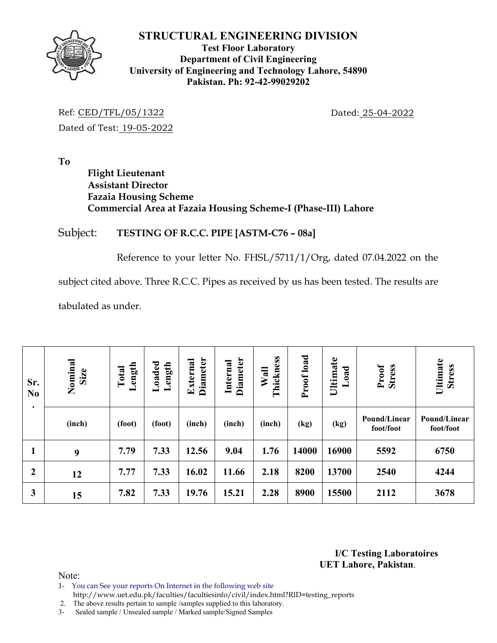

#### **Test Floor Laboratory Department of Civil Engineering University of Engineering and Technology Lahore, 54890 Pakistan. Ph: 92-42-99029202**

Ref: CED/TFL/05/1322 Dated: 25-04-2022 Dated of Test: 19-05-2022

**To** 

# **Flight Lieutenant Assistant Director Fazaia Housing Scheme Commercial Area at Fazaia Housing Scheme-I (Phase-III) Lahore**

### Subject: **TESTING OF R.C.C. PIPE [ASTM-C76 – 08a]**

Reference to your letter No. FHSL/5711/1/Org, dated 07.04.2022 on the

subject cited above. Three R.C.C. Pipes as received by us has been tested. The results are

tabulated as under.

| Sr.<br>N <sub>0</sub><br>$\bullet$ | Nominal<br>Size | Length<br>Total | Loaded<br>Length | <b>Diameter</b><br>External | <b>Diameter</b><br>Internal | Thickness<br>Wall | Proof load | Ultimate<br>beo | Proof<br><b>Stress</b>    | Ultimate<br><b>Stress</b> |  |
|------------------------------------|-----------------|-----------------|------------------|-----------------------------|-----------------------------|-------------------|------------|-----------------|---------------------------|---------------------------|--|
|                                    | (inch)          | (foot)          | (foot)           | (inch)                      | (inch)                      | (inch)            | (kg)       | (kg)            | Pound/Linear<br>foot/foot | Pound/Linear<br>foot/foot |  |
| 1                                  | 9               | 7.79            | 7.33             | 12.56                       | 9.04                        | 1.76              | 14000      | 16900           | 5592                      | 6750                      |  |
| $\boldsymbol{2}$                   | 12              | 7.77            | 7.33             | 16.02                       | 11.66                       | 2.18<br>8200      |            | 13700           | 2540                      | 4244                      |  |
| 3                                  | 15              | 7.82            | 7.33             | 19.76                       | 15.21                       | 2.28              | 8900       | 15500           | 2112                      | 3678                      |  |

**I/C Testing Laboratoires UET Lahore, Pakistan**.

Note:

- 1- You can See your reports On Internet in the following web site
- http://www.uet.edu.pk/faculties/facultiesinfo/civil/index.html?RID=testing\_reports 2. The above results pertain to sample /samples supplied to this laboratory.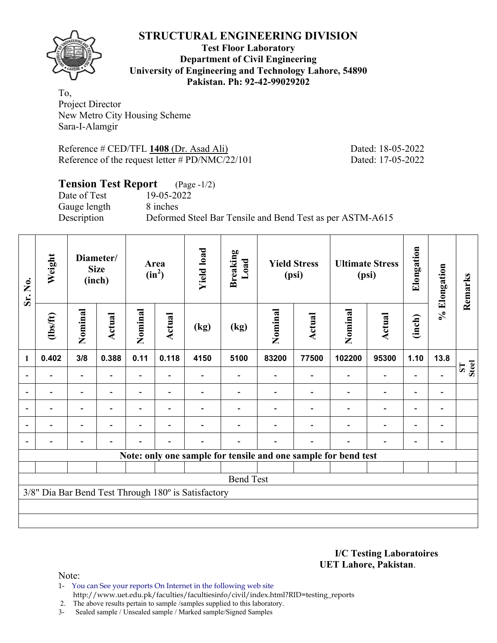

#### **Test Floor Laboratory Department of Civil Engineering University of Engineering and Technology Lahore, 54890 Pakistan. Ph: 92-42-99029202**

To, Project Director New Metro City Housing Scheme Sara-I-Alamgir

Reference # CED/TFL **1408** (Dr. Asad Ali) Dated: 18-05-2022 Reference of the request letter # PD/NMC/22/101 Dated: 17-05-2022

# **Tension Test Report** (Page -1/2)

Date of Test 19-05-2022 Gauge length 8 inches

Description Deformed Steel Bar Tensile and Bend Test as per ASTM-A615

| Sr. No.          | Weight<br>Diameter/<br><b>Size</b><br>(inch)                   |                          | Area<br>$(in^2)$ |         | <b>Yield load</b> | <b>Breaking</b><br>Load                             | <b>Yield Stress</b><br>(psi) |         | <b>Ultimate Stress</b><br>(psi) |         | Elongation               | % Elongation             | Remarks                  |       |  |  |
|------------------|----------------------------------------------------------------|--------------------------|------------------|---------|-------------------|-----------------------------------------------------|------------------------------|---------|---------------------------------|---------|--------------------------|--------------------------|--------------------------|-------|--|--|
|                  | (1bs/ft)                                                       | Nominal                  | Actual           | Nominal | <b>Actual</b>     | (kg)                                                | (kg)                         | Nominal | Actual                          | Nominal | Actual                   | (inch)                   |                          |       |  |  |
| 1                | 0.402                                                          | 3/8                      | 0.388            | 0.11    | 0.118             | 4150                                                | 5100                         | 83200   | 77500                           | 102200  | 95300                    | 1.10                     | 13.8                     |       |  |  |
|                  |                                                                | $\overline{\phantom{0}}$ |                  |         |                   |                                                     |                              |         |                                 |         | $\overline{\phantom{0}}$ |                          |                          | Steel |  |  |
|                  |                                                                | $\overline{\phantom{0}}$ |                  |         |                   |                                                     |                              |         |                                 |         | $\overline{\phantom{0}}$ | $\overline{\phantom{0}}$ |                          |       |  |  |
| $\blacksquare$   |                                                                | Ξ.                       |                  |         | $\blacksquare$    |                                                     |                              |         |                                 |         | $\blacksquare$           | $\overline{\phantom{0}}$ | $\overline{\phantom{0}}$ |       |  |  |
|                  |                                                                | $\blacksquare$           |                  |         | $\blacksquare$    |                                                     |                              |         |                                 |         | $\overline{a}$           | $\overline{a}$           |                          |       |  |  |
|                  |                                                                | $\blacksquare$           |                  |         | $\blacksquare$    |                                                     |                              |         |                                 |         | $\overline{a}$           | $\overline{a}$           |                          |       |  |  |
|                  | Note: only one sample for tensile and one sample for bend test |                          |                  |         |                   |                                                     |                              |         |                                 |         |                          |                          |                          |       |  |  |
|                  |                                                                |                          |                  |         |                   |                                                     |                              |         |                                 |         |                          |                          |                          |       |  |  |
| <b>Bend Test</b> |                                                                |                          |                  |         |                   |                                                     |                              |         |                                 |         |                          |                          |                          |       |  |  |
|                  |                                                                |                          |                  |         |                   | 3/8" Dia Bar Bend Test Through 180° is Satisfactory |                              |         |                                 |         |                          |                          |                          |       |  |  |
|                  |                                                                |                          |                  |         |                   |                                                     |                              |         |                                 |         |                          |                          |                          |       |  |  |
|                  |                                                                |                          |                  |         |                   |                                                     |                              |         |                                 |         |                          |                          |                          |       |  |  |

**I/C Testing Laboratoires UET Lahore, Pakistan**.

Note:

1- You can See your reports On Internet in the following web site http://www.uet.edu.pk/faculties/facultiesinfo/civil/index.html?RID=testing\_reports

2. The above results pertain to sample /samples supplied to this laboratory.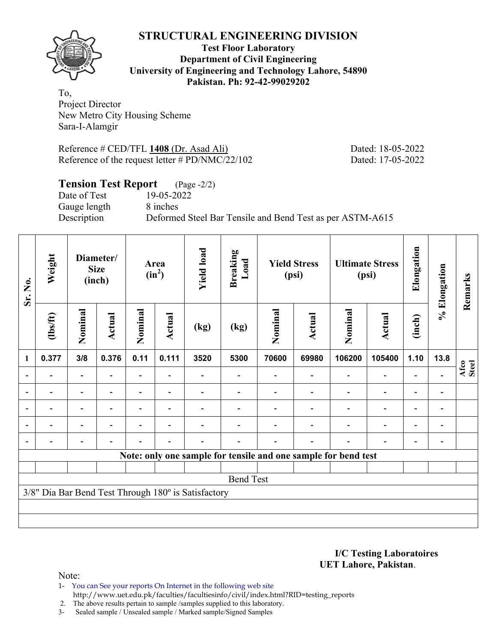

**Test Floor Laboratory Department of Civil Engineering University of Engineering and Technology Lahore, 54890 Pakistan. Ph: 92-42-99029202** 

To, Project Director New Metro City Housing Scheme Sara-I-Alamgir

Reference # CED/TFL **1408** (Dr. Asad Ali) Dated: 18-05-2022 Reference of the request letter # PD/NMC/22/102 Dated: 17-05-2022

# **Tension Test Report** (Page -2/2)

Date of Test 19-05-2022 Gauge length 8 inches

Description Deformed Steel Bar Tensile and Bend Test as per ASTM-A615

| Sr. No.                                                                 | Weight<br>Diameter/<br><b>Size</b><br>(inch)                   |                          |                |                | Area<br>$(in^2)$         | <b>Yield load</b> | <b>Breaking</b><br>Load |         | <b>Yield Stress</b><br>(psi) |         | <b>Ultimate Stress</b><br>(psi) | Elongation               | % Elongation   | Remarks       |  |  |
|-------------------------------------------------------------------------|----------------------------------------------------------------|--------------------------|----------------|----------------|--------------------------|-------------------|-------------------------|---------|------------------------------|---------|---------------------------------|--------------------------|----------------|---------------|--|--|
|                                                                         | (1bs/ft)                                                       | Nominal                  | Actual         | Nominal        | <b>Actual</b>            | (kg)              | (kg)                    | Nominal | Actual                       | Nominal | Actual                          | (inch)                   |                |               |  |  |
| $\mathbf{1}$                                                            | 0.377                                                          | 3/8                      | 0.376          | 0.11           | 0.111                    | 3520              | 5300                    | 70600   | 69980                        | 106200  | 105400                          | 1.10                     | 13.8           |               |  |  |
|                                                                         |                                                                |                          |                |                |                          |                   |                         |         |                              |         | $\overline{\phantom{0}}$        |                          |                | Afco<br>Steel |  |  |
| $\overline{a}$                                                          |                                                                | $\overline{\phantom{0}}$ |                |                |                          |                   |                         |         |                              |         | -                               | -                        |                |               |  |  |
| $\blacksquare$                                                          |                                                                | Ξ.                       | $\blacksquare$ | $\blacksquare$ | $\overline{\phantom{a}}$ |                   |                         |         |                              |         | $\blacksquare$                  | $\overline{\phantom{0}}$ | $\blacksquare$ |               |  |  |
|                                                                         | -                                                              | $\overline{\phantom{0}}$ |                |                | $\blacksquare$           |                   |                         |         |                              |         | $\overline{a}$                  | $\overline{\phantom{0}}$ |                |               |  |  |
|                                                                         |                                                                | $\overline{\phantom{0}}$ |                |                | $\blacksquare$           |                   |                         |         |                              |         | $\overline{\phantom{0}}$        | $\overline{\phantom{0}}$ |                |               |  |  |
|                                                                         | Note: only one sample for tensile and one sample for bend test |                          |                |                |                          |                   |                         |         |                              |         |                                 |                          |                |               |  |  |
|                                                                         |                                                                |                          |                |                |                          |                   |                         |         |                              |         |                                 |                          |                |               |  |  |
| <b>Bend Test</b><br>3/8" Dia Bar Bend Test Through 180° is Satisfactory |                                                                |                          |                |                |                          |                   |                         |         |                              |         |                                 |                          |                |               |  |  |
|                                                                         |                                                                |                          |                |                |                          |                   |                         |         |                              |         |                                 |                          |                |               |  |  |
|                                                                         |                                                                |                          |                |                |                          |                   |                         |         |                              |         |                                 |                          |                |               |  |  |
|                                                                         |                                                                |                          |                |                |                          |                   |                         |         |                              |         |                                 |                          |                |               |  |  |

**I/C Testing Laboratoires UET Lahore, Pakistan**.

Note:

1- You can See your reports On Internet in the following web site http://www.uet.edu.pk/faculties/facultiesinfo/civil/index.html?RID=testing\_reports

2. The above results pertain to sample /samples supplied to this laboratory.